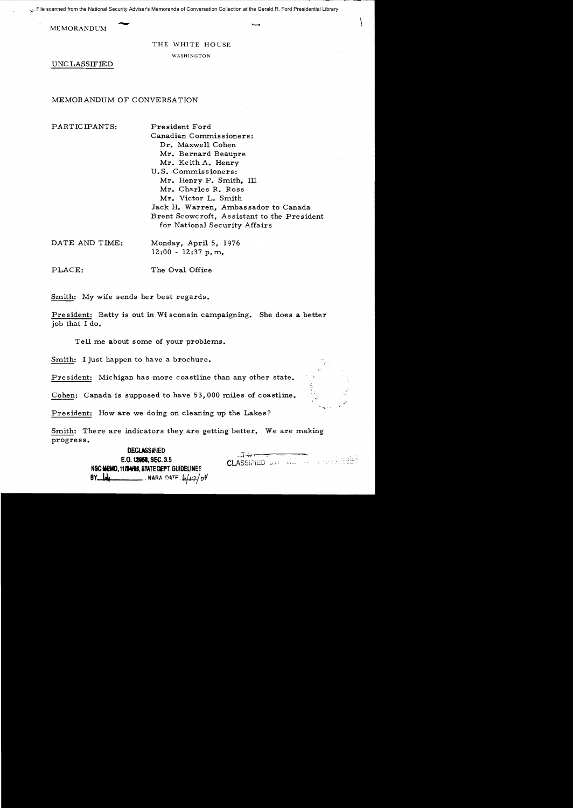File scanned from the National Security Adviser's Memoranda of Conversation Collection at the Gerald R. Ford Presidential Library

MEMORANDUM  $\longrightarrow$ 

## THE WHITE HOUSE

WASHINGTON

UNC LASSIFIED

MEMORANDUM OF CONVERSATION

PARTICIPANTS: President Ford

Canadian Commissioners: Dr. Maxwell Cohen Mr. Bernard Beaupre Mr. Keith A. Henry U.S. Commissioners: Mr. Henry P. Smith, III Mr. Charles R. Ross Mr. Victor L. Smith Jack H. Warren, Ambassador to Canada Brent Scowcroft, Assistant to the President for National Security Affairs

DATE AND TIME: Monday, April 5, 1976  $12:00 - 12:37 p.m.$ 

PLACE: The Oval Office

Smith: My wife sends her best regards.

President: Betty is out in Wi sconsin campaigning. She does a better job that I do.

Tell me about some of your problems.

Smith: I just happen to have a brochure.

President: Michigan has more coastline than any other state.

Cohen: Canada is supposed to have 53,000 miles of coastline.

President: How are we doing on cleaning up the Lakes?

Smith: There are indicators they are getting better. We are making progress.

> DEClASSiflED -,:.(, . E.O. **1!1151,** SEC. 3.5 CLASSli'j[O ...,., ,.-, NSCIBO.111141t8. STATE DEPT. GUIDELINES  $BY$   $I/dq$   $\overline{V}$  , NARA DATE  $I/d12/04$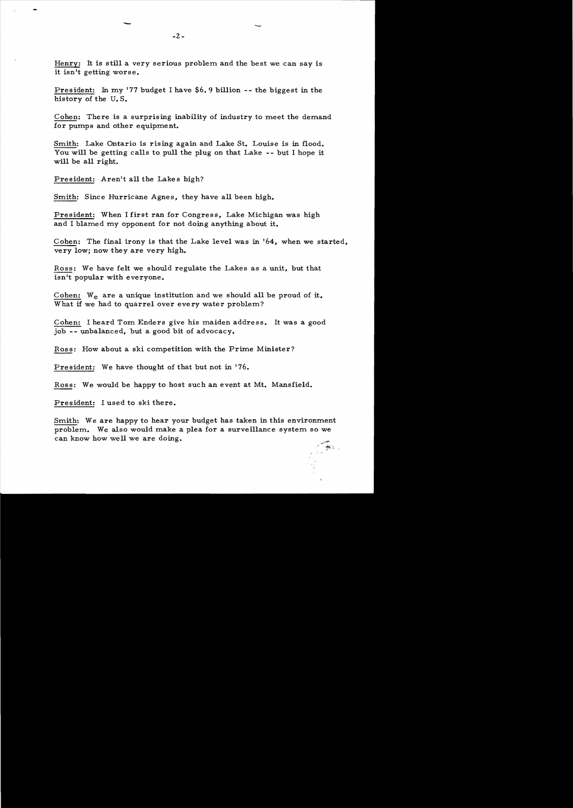Henry: It is still a very serious problem and the best we can say is it isn't getting worse.

President: In my '77 budget I have \$6.9 billion -- the biggest in the history of the U. S.

Cohen: There is a surprising inability of industry to meet the demand for pumps and other equipment.

Smith: Lake Ontario is rising again and Lake St. Louise is in flood. You will be getting calls to pull the plug on that Lake -- but I hope it will be all right.

President: Aren't all the Lakes high?

Smith: Since Hurricane Agnes, they have all been high.

President: When I first ran for Congress, Lake Michigan was high and I blamed my opponent for not doing anything about it.

Cohen: The final irony is that the Lake level was in '64, when we started, very low; now they are very high.

Ross: We have felt we should regulate the Lakes as a unit, but that isn't popular with everyone.

Cohen: W<sub>e</sub> are a unique institution and we should all be proud of it. What if we had to quarrel over every water problem?

Cohen: I heard Tom Enders give his maiden address. It was a good job -- unbalanced, but a good bit of advocacy.

Ross: How about a ski competition with the Prime Minister?

President: We have thought of that but not in 176.

Ross: We would be happy to host such an event at Mt. Mansfield.

President: I used to ski there.

Smith: We are happy to hear your budget has taken in this environment problem. We also would make a plea for a surveillance system so we can know how well we are doing.

*, 'f'i;*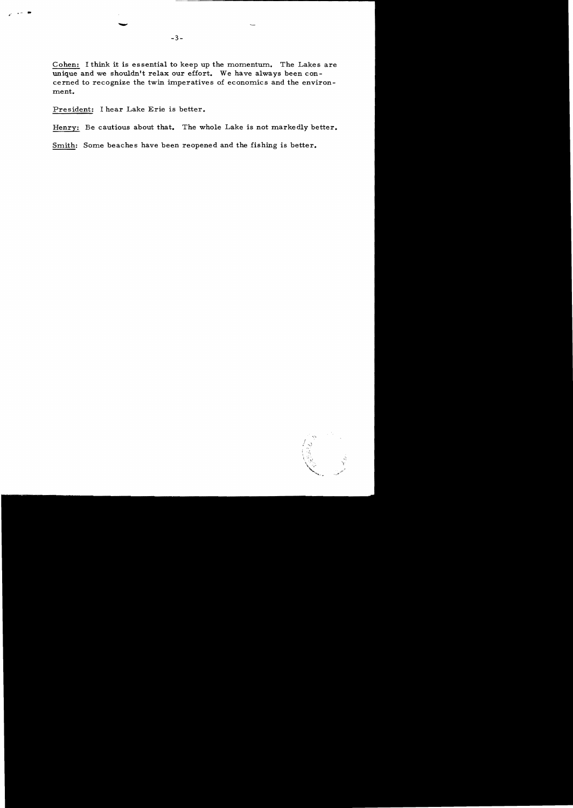Cohen: I think it is essential to keep up the momentum. The Lakes are unique and we shouldn't relax our effort. We have always been concerned to recognize the twin imperatives of economics and the environment.

President: I hear Lake Erie is better.

,... ~ .

Henry: Be cautious about that. The whole Lake is not markedly better.

Smith: Some beaches have been reopened and the fishing is better.

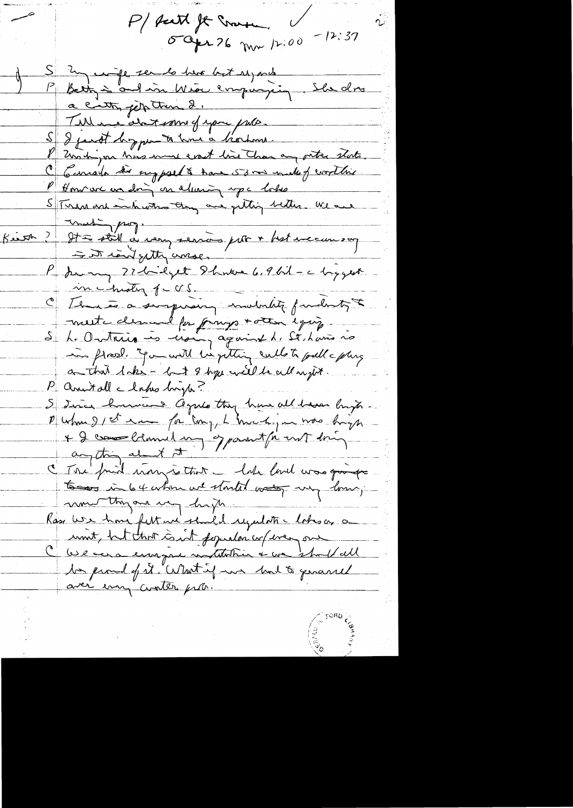P/ sait It more. 5 apr 26 mar 12:00 -12:37 S 3 m comple ser la have but us , and P Bety is and in Wear empirying. She does a citty jet true 2. Till me de terme of you pulle. S & just begynn to how a liver Zus higher his more east line Than any outre state C Carrola di supposed & have 53 mm male of worthing P Honvier un doing en alusing up c lots Stream and interesting one getting better. We are Kiest ? It a still a very servir par + hot encours on = It iant getty wase, P Juin 27 bilget 8 hours 6.9 bil - c biggest in instrict of ccs C Temmes a simpresing invitation fundentight meste dessuel for frango + otten equip. S. L. Ontains is noing against le St lavis ro in flood. You will be getting cullets pull a plus a that lake - lat 9 hope will be all night. P annitalle lakes bright S Jura harvens agree they have all baser bright Dum 21er ma for my, L much , mas hagh + 2 come bland un opport fit ent dring I The final many is that I had land was giving to do internace started was my low; monthyand my hyp. Rass We have felt we shall regulate lohs as a unit, but that count popular co/ every one C We are enough motifolier & we should all to proud of it "What if we had to genance aver every conten pite.